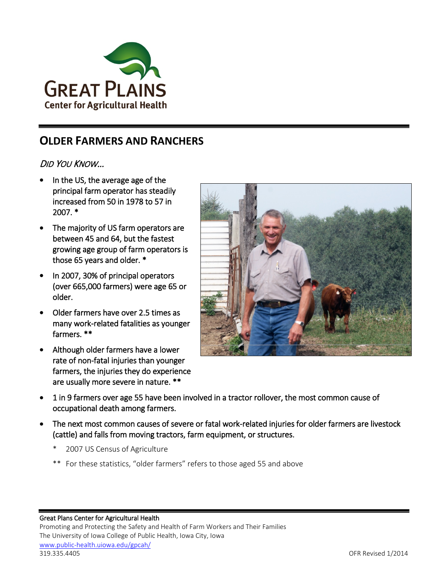

## **OLDER FARMERS AND RANCHERS**

### DID YOU KNOW…

- In the US, the average age of the principal farm operator has steadily increased from 50 in 1978 to 57 in 2007. \*
- The majority of US farm operators are between 45 and 64, but the fastest growing age group of farm operators is those 65 years and older. \*
- In 2007, 30% of principal operators (over 665,000 farmers) were age 65 or older.
- Older farmers have over 2.5 times as many work-related fatalities as younger farmers. \*\*
- Although older farmers have a lower rate of non-fatal injuries than younger farmers, the injuries they do experience are usually more severe in nature. \*\*



- 1 in 9 farmers over age 55 have been involved in a tractor rollover, the most common cause of occupational death among farmers.
- The next most common causes of severe or fatal work-related injuries for older farmers are livestock (cattle) and falls from moving tractors, farm equipment, or structures.
	- 2007 US Census of Agriculture
	- \*\* For these statistics, "older farmers" refers to those aged 55 and above

#### Great Plans Center for Agricultural Health

Promoting and Protecting the Safety and Health of Farm Workers and Their Families The University of Iowa College of Public Health, Iowa City, Iowa [www.public-health.uiowa.edu/gpcah/](http://www.public-health.uiowa.edu/gpcah/) 319.335.4405 OFR Revised 1/2014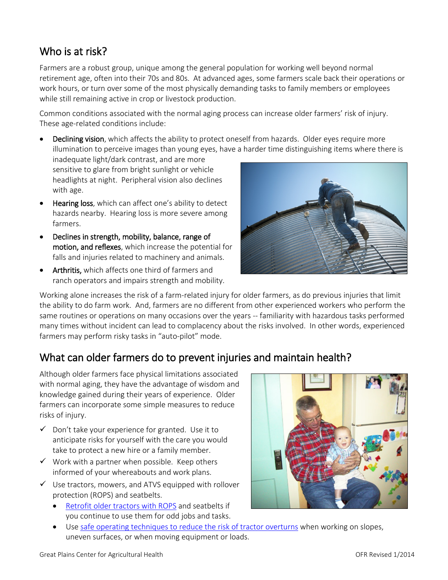# Who is at risk?

Farmers are a robust group, unique among the general population for working well beyond normal retirement age, often into their 70s and 80s. At advanced ages, some farmers scale back their operations or work hours, or turn over some of the most physically demanding tasks to family members or employees while still remaining active in crop or livestock production.

Common conditions associated with the normal aging process can increase older farmers' risk of injury. These age-related conditions include:

• Declining vision, which affects the ability to protect oneself from hazards. Older eyes require more illumination to perceive images than young eyes, have a harder time distinguishing items where there is

inadequate light/dark contrast, and are more sensitive to glare from bright sunlight or vehicle headlights at night. Peripheral vision also declines with age.

- Hearing loss, which can affect one's ability to detect hazards nearby. Hearing loss is more severe among farmers.
- Declines in strength, mobility, balance, range of motion, and reflexes, which increase the potential for falls and injuries related to machinery and animals.
- Arthritis, which affects one third of farmers and ranch operators and impairs strength and mobility.

Working alone increases the risk of a farm-related injury for older farmers, as do previous injuries that limit the ability to do farm work. And, farmers are no different from other experienced workers who perform the same routines or operations on many occasions over the years -- familiarity with hazardous tasks performed many times without incident can lead to complacency about the risks involved. In other words, experienced farmers may perform risky tasks in "auto-pilot" mode.

## What can older farmers do to prevent injuries and maintain health?

Although older farmers face physical limitations associated with normal aging, they have the advantage of wisdom and knowledge gained during their years of experience. Older farmers can incorporate some simple measures to reduce risks of injury.

- $\checkmark$  Don't take your experience for granted. Use it to anticipate risks for yourself with the care you would take to protect a new hire or a family member.
- $\checkmark$  Work with a partner when possible. Keep others informed of your whereabouts and work plans.
- $\checkmark$  Use tractors, mowers, and ATVS equipped with rollover protection (ROPS) and seatbelts.
	- [Retrofit older tractors with ROPS](http://warehouse.ca.uky.edu/rops/ropshome.asp) and seatbelts if you continue to use them for odd jobs and tasks.
	- Use [safe operating techniques to reduce the risk of tractor overturns](http://www.public-health.uiowa.edu/GPCAH/resources/tractor-overturns.html) when working on slopes, uneven surfaces, or when moving equipment or loads.



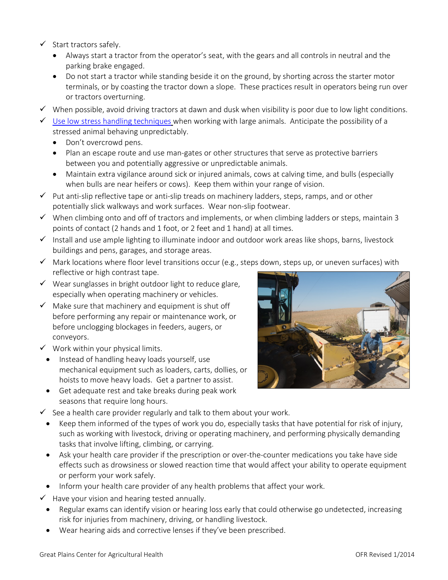- $\checkmark$  Start tractors safely.
	- Always start a tractor from the operator's seat, with the gears and all controls in neutral and the parking brake engaged.
	- Do not start a tractor while standing beside it on the ground, by shorting across the starter motor terminals, or by coasting the tractor down a slope. These practices result in operators being run over or tractors overturning.
- $\checkmark$  When possible, avoid driving tractors at dawn and dusk when visibility is poor due to low light conditions.
- $\checkmark$  [Use low stress handling techniques](http://www.grandin.com/behaviour/principles/flight.zone.html) when working with large animals. Anticipate the possibility of a stressed animal behaving unpredictably.
	- Don't overcrowd pens.
	- Plan an escape route and use man-gates or other structures that serve as protective barriers between you and potentially aggressive or unpredictable animals.
	- Maintain extra vigilance around sick or injured animals, cows at calving time, and bulls (especially when bulls are near heifers or cows). Keep them within your range of vision.
- $\checkmark$  Put anti-slip reflective tape or anti-slip treads on machinery ladders, steps, ramps, and or other potentially slick walkways and work surfaces. Wear non-slip footwear.
- $\checkmark$  When climbing onto and off of tractors and implements, or when climbing ladders or steps, maintain 3 points of contact (2 hands and 1 foot, or 2 feet and 1 hand) at all times.
- Install and use ample lighting to illuminate indoor and outdoor work areas like shops, barns, livestock buildings and pens, garages, and storage areas.
- $\checkmark$  Mark locations where floor level transitions occur (e.g., steps down, steps up, or uneven surfaces) with reflective or high contrast tape.
- $\checkmark$  Wear sunglasses in bright outdoor light to reduce glare, especially when operating machinery or vehicles.
- $\checkmark$  Make sure that machinery and equipment is shut off before performing any repair or maintenance work, or before unclogging blockages in feeders, augers, or conveyors.
- $\checkmark$  Work within your physical limits.
- Instead of handling heavy loads yourself, use mechanical equipment such as loaders, carts, dollies, or hoists to move heavy loads. Get a partner to assist.
- Get adequate rest and take breaks during peak work seasons that require long hours.



- $\checkmark$  See a health care provider regularly and talk to them about your work.
	- Keep them informed of the types of work you do, especially tasks that have potential for risk of injury, such as working with livestock, driving or operating machinery, and performing physically demanding tasks that involve lifting, climbing, or carrying.
	- Ask your health care provider if the prescription or over-the-counter medications you take have side effects such as drowsiness or slowed reaction time that would affect your ability to operate equipment or perform your work safely.
	- Inform your health care provider of any health problems that affect your work.
- $\checkmark$  Have your vision and hearing tested annually.
	- Regular exams can identify vision or hearing loss early that could otherwise go undetected, increasing risk for injuries from machinery, driving, or handling livestock.
	- Wear hearing aids and corrective lenses if they've been prescribed.